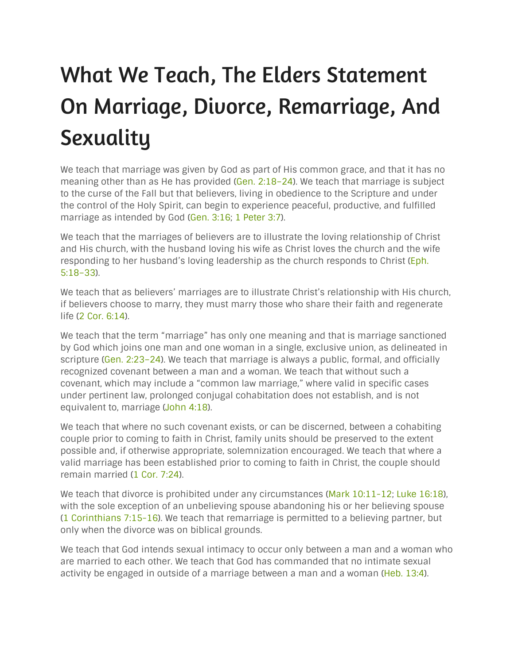## What We Teach, The Elders Statement On Marriage, Divorce, Remarriage, And **Sexuality**

We teach that marriage was given by God as part of His common grace, and that it has no meaning other than as He has provided (Gen. [2:18–24](https://biblia.com/bible/nasb95/Gen.%202.18%E2%80%9324)). We teach that marriage is subject to the curse of the Fall but that believers, living in obedience to the Scripture and under the control of the Holy Spirit, can begin to experience peaceful, productive, and fulfilled marriage as intended by God [\(Gen.](https://biblia.com/bible/nasb95/Gen.%203.16) 3:16; 1 [Peter](https://biblia.com/bible/nasb95/1%20Pet%203.7) 3:7).

We teach that the marriages of believers are to illustrate the loving relationship of Christ and His church, with the husband loving his wife as Christ loves the church and the wife responding to her husband's loving leadership as the church responds to Christ [\(Eph.](https://biblia.com/bible/nasb95/Eph.%205.18%E2%80%9333) [5:18–33\)](https://biblia.com/bible/nasb95/Eph.%205.18%E2%80%9333).

We teach that as believers' marriages are to illustrate Christ's relationship with His church, if believers choose to marry, they must marry those who share their faith and regenerate life (2 Cor. [6:14](https://biblia.com/bible/nasb95/2%20Cor.%206.14)).

We teach that the term "marriage" has only one meaning and that is marriage sanctioned by God which joins one man and one woman in a single, exclusive union, as delineated in scripture (Gen. 2:23-24). We teach that marriage is always a public, formal, and officially recognized covenant between a man and a woman. We teach that without such a covenant, which may include a "common law marriage," where valid in specific cases under pertinent law, prolonged conjugal cohabitation does not establish, and is not equivalent to, marriage [\(John](https://biblia.com/bible/nasb95/John%204.18) 4:18).

We teach that where no such covenant exists, or can be discerned, between a cohabiting couple prior to coming to faith in Christ, family units should be preserved to the extent possible and, if otherwise appropriate, solemnization encouraged. We teach that where a valid marriage has been established prior to coming to faith in Christ, the couple should remain married (1 Cor. [7:24\)](https://biblia.com/bible/nasb95/1%20Cor.%207.24).

We teach that divorce is prohibited under any circumstances (Mark  $10:11-12$ ; Luke  $16:18$ ), with the sole exception of an unbelieving spouse abandoning his or her believing spouse (1 [Corinthians](https://biblia.com/bible/nasb95/1%20Cor%207.15-16) 7:15-16). We teach that remarriage is permitted to a believing partner, but only when the divorce was on biblical grounds.

We teach that God intends sexual intimacy to occur only between a man and a woman who are married to each other. We teach that God has commanded that no intimate sexual activity be engaged in outside of a marriage between a man and a woman (Heb. [13:4\)](https://biblia.com/bible/nasb95/Heb.%2013.4).